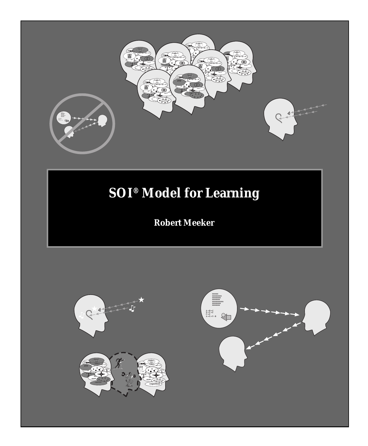

# **SOI® Model for Learning**

#### **Robert Meeker**

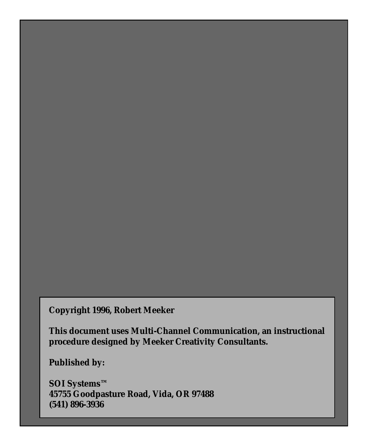#### **Copyright 1996, Robert Meeker**

**This document uses Multi-Channel Communication, an instructional procedure designed by Meeker Creativity Consultants.**

**Published by:**

**SOI Systems™ 45755 Goodpasture Road, Vida, OR 97488 (541) 896-3936**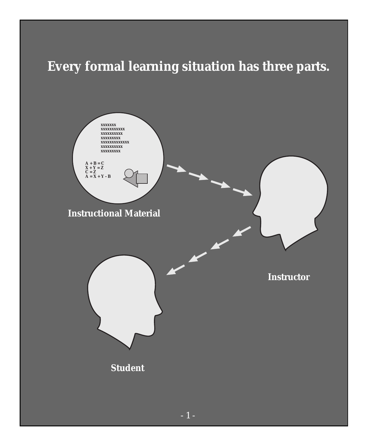# **Every formal learning situation has three parts.**

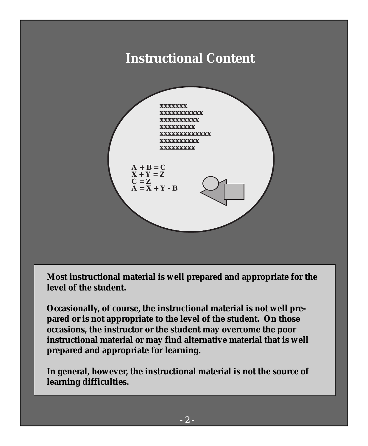#### **Instructional Content**



**Most instructional material is well prepared and appropriate for the level of the student.**

**Occasionally, of course, the instructional material is not well prepared or is not appropriate to the level of the student. On those occasions, the instructor or the student may overcome the poor instructional material or may find alternative material that is well prepared and appropriate for learning.**

**In general, however, the instructional material is not the source of learning difficulties.**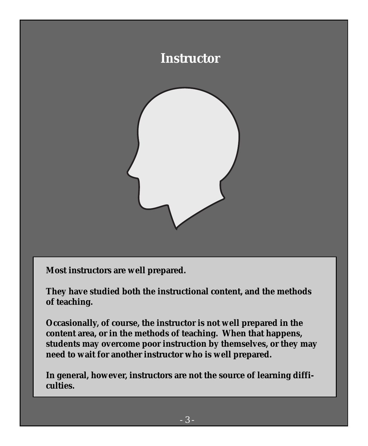

**Most instructors are well prepared.**

**They have studied both the instructional content, and the methods of teaching.**

**Occasionally, of course, the instructor is not well prepared in the content area, or in the methods of teaching. When that happens, students may overcome poor instruction by themselves, or they may need to wait for another instructor who is well prepared.**

**In general, however, instructors are not the source of learning difficulties.**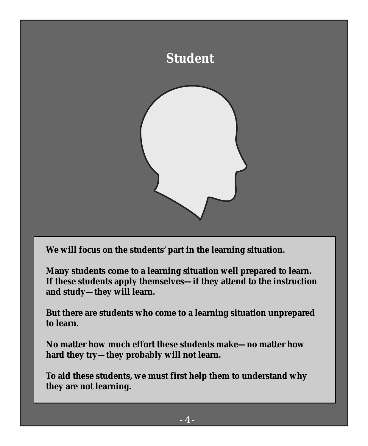

**We will focus on the students' part in the learning situation.**

**Many students come to a learning situation well prepared to learn. If these students apply themselves—if they attend to the instruction and study—they will learn.**

**But there are students who come to a learning situation unprepared to learn.**

**No matter how much effort these students make—no matter how hard they try—they probably will not learn.**

**To aid these students, we must first help them to understand why they are not learning.**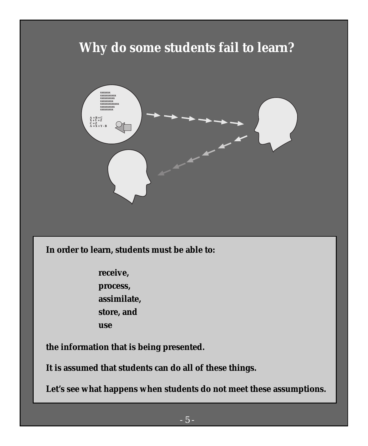### **Why do some students fail to learn?**



**In order to learn, students must be able to:**

**receive, process, assimilate, store, and use**

**the information that is being presented.**

**It is assumed that students can do all of these things.**

**Let's see what happens when students do not meet these assumptions.**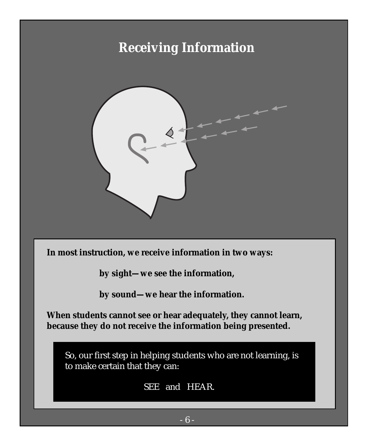### **Receiving Information**



**In most instruction, we receive information in two ways:**

**by sight—we see the information,**

**by sound—we hear the information.**

**When students cannot see or hear adequately, they cannot learn, because they do not receive the information being presented.**

So, our first step in helping students who are not learning, is to make certain that they can:

SEE and HEAR.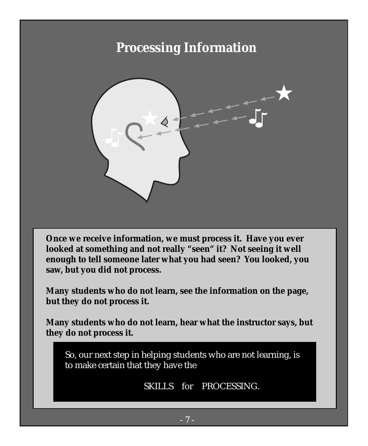#### **Processing Information**



**Once we receive information, we must process it. Have you ever looked at something and not really "seen" it? Not seeing it well enough to tell someone later what you had seen? You looked, you saw, but you did not process.**

**Many students who do not learn, see the information on the page, but they do not process it.**

**Many students who do not learn, hear what the instructor says, but they do not process it.**

So, our next step in helping students who are not learning, is to make certain that they have the

SKILLS for PROCESSING.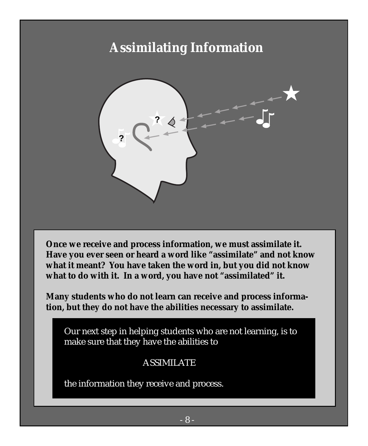## **Assimilating Information**



**Once we receive and process information, we must assimilate it. Have you ever seen or heard a word like "assimilate" and not know what it meant? You have taken the word in, but you did not know what to do with it. In a word, you have not "assimilated" it.**

**Many students who do not learn can receive and process information, but they do not have the abilities necessary to assimilate.**

Our next step in helping students who are not learning, is to make sure that they have the abilities to

#### ASSIMILATE

the information they receive and process.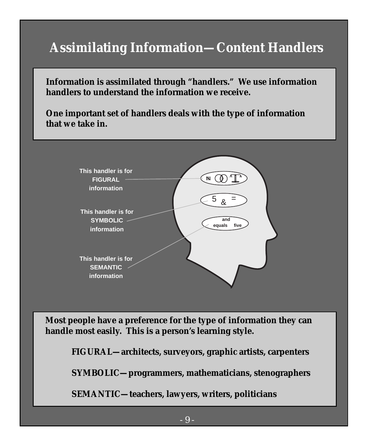## **Assimilating Information—Content Handlers**

**Information is assimilated through "handlers." We use information handlers to understand the information we receive.**

**One important set of handlers deals with the type of information that we take in.**



**Most people have a preference for the type of information they can handle most easily. This is a person's learning style.**

**FIGURAL—architects, surveyors, graphic artists, carpenters**

**SYMBOLIC—programmers, mathematicians, stenographers**

**SEMANTIC—teachers, lawyers, writers, politicians**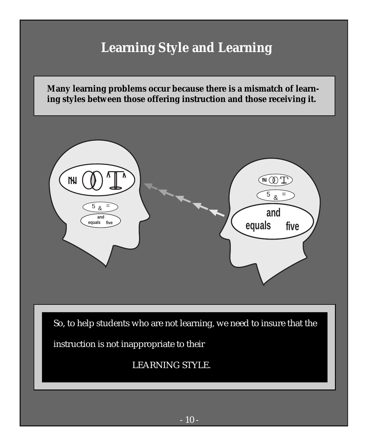## **Learning Style and Learning**

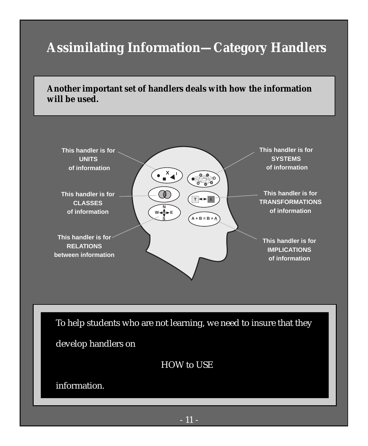## **Assimilating Information—Category Handlers**

**Another important set of handlers deals with how the information will be used.**

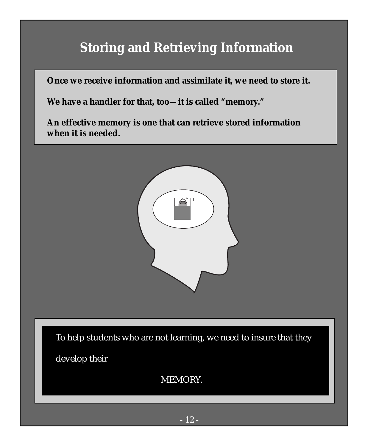## **Storing and Retrieving Information**

**Once we receive information and assimilate it, we need to store it.**

**We have a handler for that, too—it is called "memory."**

**An effective memory is one that can retrieve stored information when it is needed.**



To help students who are not learning, we need to insure that they

develop their

MEMORY.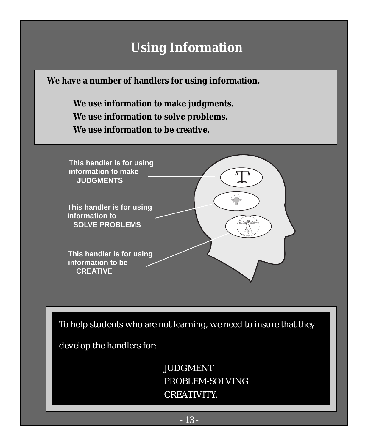### **Using Information**

**We have a number of handlers for using information.**

**We use information to make judgments. We use information to solve problems. We use information to be creative.**



To help students who are not learning, we need to insure that they

develop the handlers for:

JUDGMENT PROBLEM-SOLVING CREATIVITY.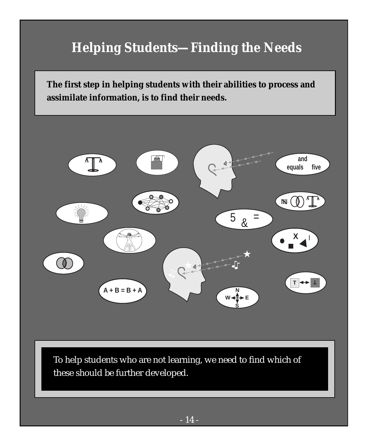# **Helping Students—Finding the Needs**

**The first step in helping students with their abilities to process and assimilate information, is to find their needs.**



To help students who are not learning, we need to find which of these should be further developed.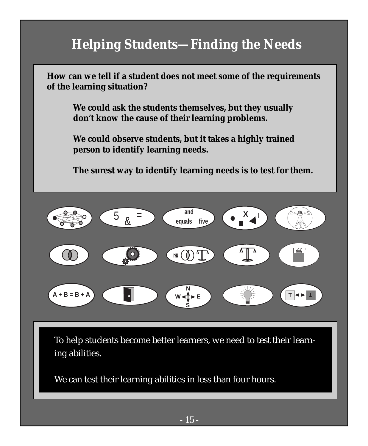## **Helping Students—Finding the Needs**

**How can we tell if a student does not meet some of the requirements of the learning situation?**

**We could ask the students themselves, but they usually don't know the cause of their learning problems.**

**We could observe students, but it takes a highly trained person to identify learning needs.**

**The surest way to identify learning needs is to test for them.**



To help students become better learners, we need to test their learning abilities.

We can test their learning abilities in less than four hours.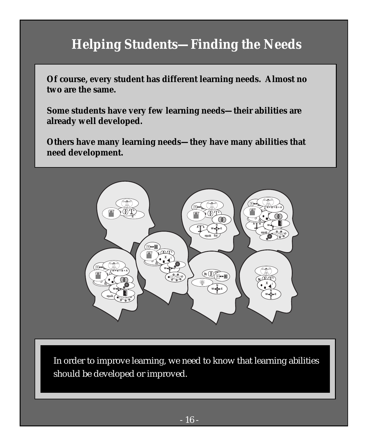## **Helping Students—Finding the Needs**

**Of course, every student has different learning needs. Almost no two are the same.**

**Some students have very few learning needs—their abilities are already well developed.**

**Others have many learning needs—they have many abilities that need development.**



In order to improve learning, we need to know that learning abilities should be developed or improved.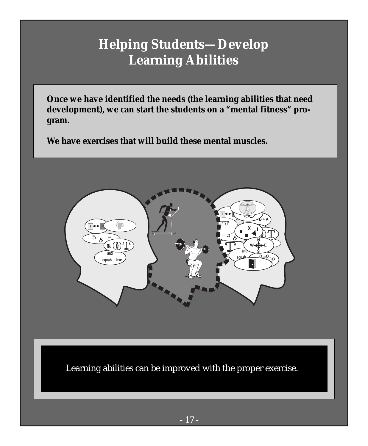#### **Helping Students—Develop Learning Abilities**

**Once we have identified the needs (the learning abilities that need development), we can start the students on a "mental fitness" program.**

**We have exercises that will build these mental muscles.**



Learning abilities can be improved with the proper exercise.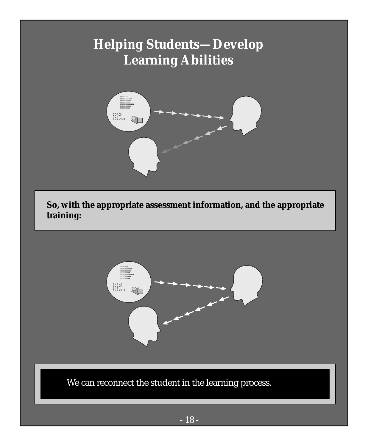## **Helping Students—Develop Learning Abilities**



**So, with the appropriate assessment information, and the appropriate training:**



We can reconnect the student in the learning process.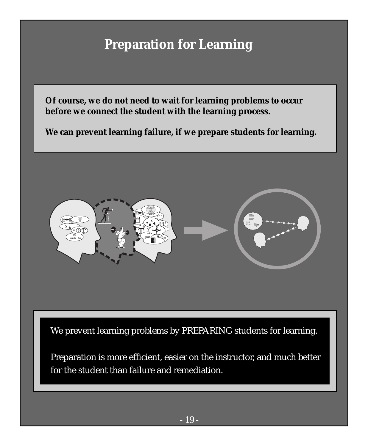## **Preparation for Learning**

**Of course, we do not need to wait for learning problems to occur before we connect the student with the learning process.**

**We can prevent learning failure, if we prepare students for learning.**

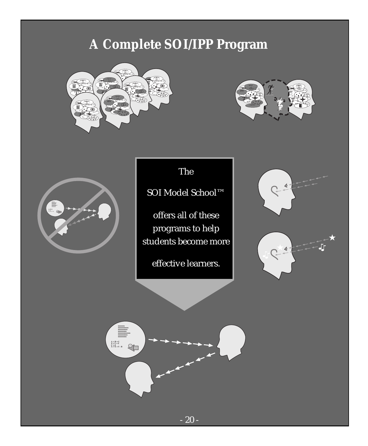## **A Complete SOI/IPP Program**







The

SOI Model School™

offers all of these programs to help students become more

effective learners.



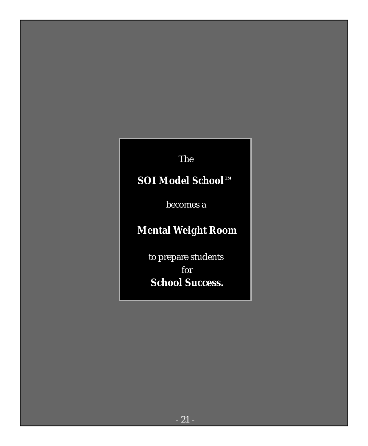The

#### **SOI Model School™**

becomes a

#### **Mental Weight Room**

to prepare students for  **School Success.**